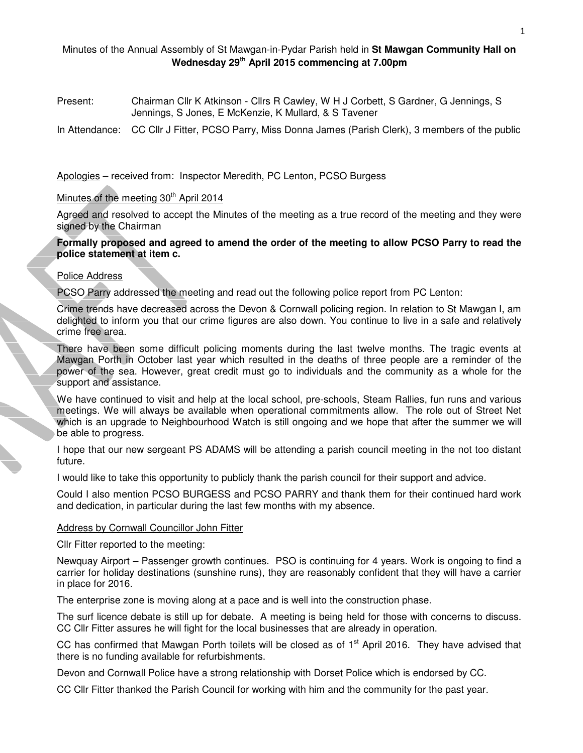## Minutes of the Annual Assembly of St Mawgan-in-Pydar Parish held in **St Mawgan Community Hall on Wednesday 29th April 2015 commencing at 7.00pm**

Present: Chairman Cllr K Atkinson - Cllrs R Cawley, W H J Corbett, S Gardner, G Jennings, S Jennings, S Jones, E McKenzie, K Mullard, & S Tavener

In Attendance: CC Cllr J Fitter, PCSO Parry, Miss Donna James (Parish Clerk), 3 members of the public

Apologies – received from: Inspector Meredith, PC Lenton, PCSO Burgess

# Minutes of the meeting 30<sup>th</sup> April 2014

Agreed and resolved to accept the Minutes of the meeting as a true record of the meeting and they were signed by the Chairman

**Formally proposed and agreed to amend the order of the meeting to allow PCSO Parry to read the police statement at item c.** 

### Police Address

PCSO Parry addressed the meeting and read out the following police report from PC Lenton:

Crime trends have decreased across the Devon & Cornwall policing region. In relation to St Mawgan I, am delighted to inform you that our crime figures are also down. You continue to live in a safe and relatively crime free area.

There have been some difficult policing moments during the last twelve months. The tragic events at Mawgan Porth in October last year which resulted in the deaths of three people are a reminder of the power of the sea. However, great credit must go to individuals and the community as a whole for the support and assistance.

We have continued to visit and help at the local school, pre-schools, Steam Rallies, fun runs and various meetings. We will always be available when operational commitments allow. The role out of Street Net which is an upgrade to Neighbourhood Watch is still ongoing and we hope that after the summer we will be able to progress.

I hope that our new sergeant PS ADAMS will be attending a parish council meeting in the not too distant future.

I would like to take this opportunity to publicly thank the parish council for their support and advice.

Could I also mention PCSO BURGESS and PCSO PARRY and thank them for their continued hard work and dedication, in particular during the last few months with my absence.

### Address by Cornwall Councillor John Fitter

Cllr Fitter reported to the meeting:

Newquay Airport – Passenger growth continues. PSO is continuing for 4 years. Work is ongoing to find a carrier for holiday destinations (sunshine runs), they are reasonably confident that they will have a carrier in place for 2016.

The enterprise zone is moving along at a pace and is well into the construction phase.

The surf licence debate is still up for debate. A meeting is being held for those with concerns to discuss. CC Cllr Fitter assures he will fight for the local businesses that are already in operation.

CC has confirmed that Mawgan Porth toilets will be closed as of  $1<sup>st</sup>$  April 2016. They have advised that there is no funding available for refurbishments.

Devon and Cornwall Police have a strong relationship with Dorset Police which is endorsed by CC.

CC Cllr Fitter thanked the Parish Council for working with him and the community for the past year.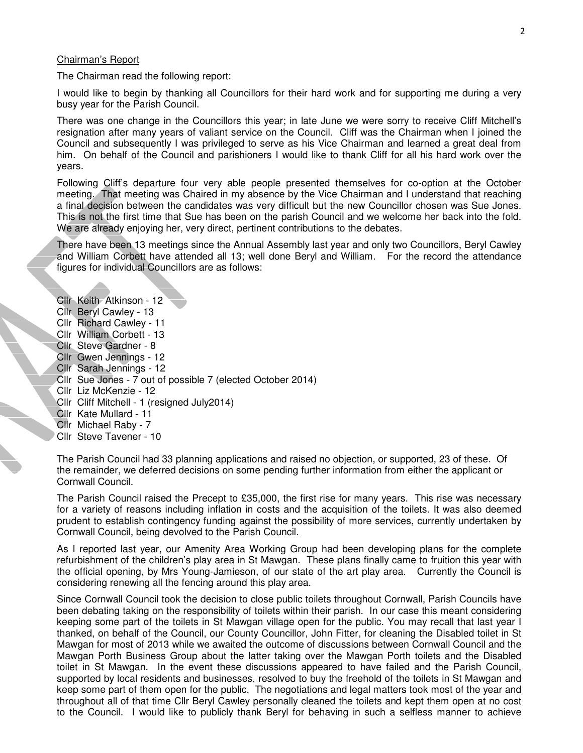#### Chairman's Report

The Chairman read the following report:

I would like to begin by thanking all Councillors for their hard work and for supporting me during a very busy year for the Parish Council.

There was one change in the Councillors this year; in late June we were sorry to receive Cliff Mitchell's resignation after many years of valiant service on the Council. Cliff was the Chairman when I joined the Council and subsequently I was privileged to serve as his Vice Chairman and learned a great deal from him. On behalf of the Council and parishioners I would like to thank Cliff for all his hard work over the years.

Following Cliff's departure four very able people presented themselves for co-option at the October meeting. That meeting was Chaired in my absence by the Vice Chairman and I understand that reaching a final decision between the candidates was very difficult but the new Councillor chosen was Sue Jones. This is not the first time that Sue has been on the parish Council and we welcome her back into the fold. We are already enjoying her, very direct, pertinent contributions to the debates.

There have been 13 meetings since the Annual Assembly last year and only two Councillors, Beryl Cawley and William Corbett have attended all 13; well done Beryl and William. For the record the attendance figures for individual Councillors are as follows:

Cllr Keith Atkinson - 12 Cllr Beryl Cawley - 13 Cllr Richard Cawley - 11 Cllr William Corbett - 13 Cllr Steve Gardner - 8 Cllr Gwen Jennings - 12 Cllr Sarah Jennings - 12 Cllr Sue Jones - 7 out of possible 7 (elected October 2014) Cllr Liz McKenzie - 12 Cllr Cliff Mitchell - 1 (resigned July2014) Cllr Kate Mullard - 11 **Cllr** Michael Raby - 7 Cllr Steve Tavener - 10

The Parish Council had 33 planning applications and raised no objection, or supported, 23 of these. Of the remainder, we deferred decisions on some pending further information from either the applicant or Cornwall Council.

The Parish Council raised the Precept to £35,000, the first rise for many years. This rise was necessary for a variety of reasons including inflation in costs and the acquisition of the toilets. It was also deemed prudent to establish contingency funding against the possibility of more services, currently undertaken by Cornwall Council, being devolved to the Parish Council.

As I reported last year, our Amenity Area Working Group had been developing plans for the complete refurbishment of the children's play area in St Mawgan. These plans finally came to fruition this year with the official opening, by Mrs Young-Jamieson, of our state of the art play area. Currently the Council is considering renewing all the fencing around this play area.

Since Cornwall Council took the decision to close public toilets throughout Cornwall, Parish Councils have been debating taking on the responsibility of toilets within their parish. In our case this meant considering keeping some part of the toilets in St Mawgan village open for the public. You may recall that last year I thanked, on behalf of the Council, our County Councillor, John Fitter, for cleaning the Disabled toilet in St Mawgan for most of 2013 while we awaited the outcome of discussions between Cornwall Council and the Mawgan Porth Business Group about the latter taking over the Mawgan Porth toilets and the Disabled toilet in St Mawgan. In the event these discussions appeared to have failed and the Parish Council, supported by local residents and businesses, resolved to buy the freehold of the toilets in St Mawgan and keep some part of them open for the public. The negotiations and legal matters took most of the year and throughout all of that time Cllr Beryl Cawley personally cleaned the toilets and kept them open at no cost to the Council. I would like to publicly thank Beryl for behaving in such a selfless manner to achieve